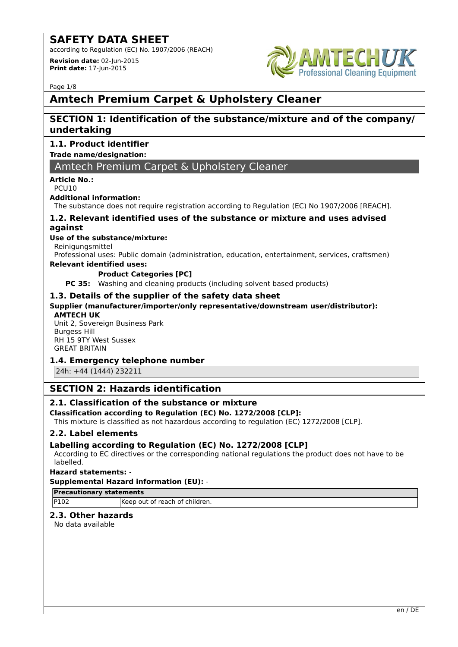according to Regulation (EC) No. 1907/2006 (REACH)

**Revision date:** 02-Jun-2015 **Print date:** 17-Jun-2015



Page 1/8

# **Amtech Premium Carpet & Upholstery Cleaner**

# **SECTION 1: Identification of the substance/mixture and of the company/ undertaking**

# **1.1. Product identifier**

# **Trade name/designation:**

# Amtech Premium Carpet & Upholstery Cleaner

# **Article No.:**

PCU10

#### **Additional information:**

The substance does not require registration according to Regulation (EC) No 1907/2006 [REACH].

# **1.2. Relevant identified uses of the substance or mixture and uses advised against**

# **Use of the substance/mixture:**

Reinigungsmittel

Professional uses: Public domain (administration, education, entertainment, services, craftsmen)

# **Relevant identified uses:**

## **Product Categories [PC]**

**PC 35:** Washing and cleaning products (including solvent based products)

## **1.3. Details of the supplier of the safety data sheet**

## **Supplier (manufacturer/importer/only representative/downstream user/distributor):**

## **AMTECH UK**

Unit 2, Sovereign Business Park Burgess Hill RH 15 9TY West Sussex GREAT BRITAIN

## **1.4. Emergency telephone number**

24h: +44 (1444) 232211

# **SECTION 2: Hazards identification**

# **2.1. Classification of the substance or mixture**

## **Classification according to Regulation (EC) No. 1272/2008 [CLP]:**

This mixture is classified as not hazardous according to regulation (EC) 1272/2008 [CLP].

## **2.2. Label elements**

# **Labelling according to Regulation (EC) No. 1272/2008 [CLP]**

According to EC directives or the corresponding national regulations the product does not have to be labelled.

## **Hazard statements:** -

## **Supplemental Hazard information (EU):** -

#### **Precautionary statements**

P102 Keep out of reach of children.

# **2.3. Other hazards**

No data available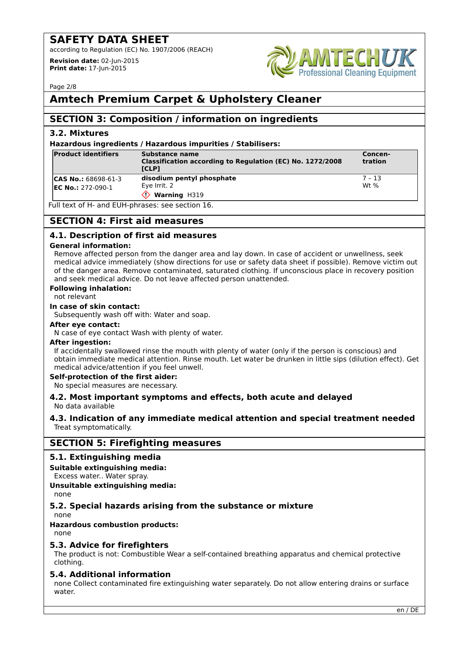according to Regulation (EC) No. 1907/2006 (REACH)

**Revision date:** 02-Jun-2015 **Print date:** 17-Jun-2015



Page 2/8

# **Amtech Premium Carpet & Upholstery Cleaner**

# **SECTION 3: Composition / information on ingredients**

# **3.2. Mixtures**

#### **Hazardous ingredients / Hazardous impurities / Stabilisers:**

| <b>Product identifiers</b>                                                                             | Substance name<br>Classification according to Regulation (EC) No. 1272/2008<br><b>ITCLPT</b> | Concen-<br>tration |  |
|--------------------------------------------------------------------------------------------------------|----------------------------------------------------------------------------------------------|--------------------|--|
| <b>CAS No.: 68698-61-3</b><br><b>EC No.: 272-090-1</b>                                                 | disodium pentyl phosphate<br>Eve Irrit. 2<br><b>Warning H319</b>                             | 7 - 13<br>Wt $%$   |  |
| $\overline{F}$ ull toyt of $\overline{F}$ and $\overline{F}$ ll $\overline{F}$ phrases; see section 16 |                                                                                              |                    |  |

Full text of H- and EUH-phrases: see section 16.

# **SECTION 4: First aid measures**

# **4.1. Description of first aid measures**

#### **General information:**

Remove affected person from the danger area and lay down. In case of accident or unwellness, seek medical advice immediately (show directions for use or safety data sheet if possible). Remove victim out of the danger area. Remove contaminated, saturated clothing. If unconscious place in recovery position and seek medical advice. Do not leave affected person unattended.

#### **Following inhalation:**

not relevant

#### **In case of skin contact:**

Subsequently wash off with: Water and soap.

#### **After eye contact:**

N case of eye contact Wash with plenty of water.

## **After ingestion:**

If accidentally swallowed rinse the mouth with plenty of water (only if the person is conscious) and obtain immediate medical attention. Rinse mouth. Let water be drunken in little sips (dilution effect). Get medical advice/attention if you feel unwell.

## **Self-protection of the first aider:**

No special measures are necessary.

#### **4.2. Most important symptoms and effects, both acute and delayed** No data available

## **4.3. Indication of any immediate medical attention and special treatment needed** Treat symptomatically.

# **SECTION 5: Firefighting measures**

## **5.1. Extinguishing media**

## **Suitable extinguishing media:**

Excess water.. Water spray.

## **Unsuitable extinguishing media:**

none

# **5.2. Special hazards arising from the substance or mixture**

none

# **Hazardous combustion products:**

none

## **5.3. Advice for firefighters**

The product is not: Combustible Wear a self-contained breathing apparatus and chemical protective clothing.

## **5.4. Additional information**

none Collect contaminated fire extinguishing water separately. Do not allow entering drains or surface water.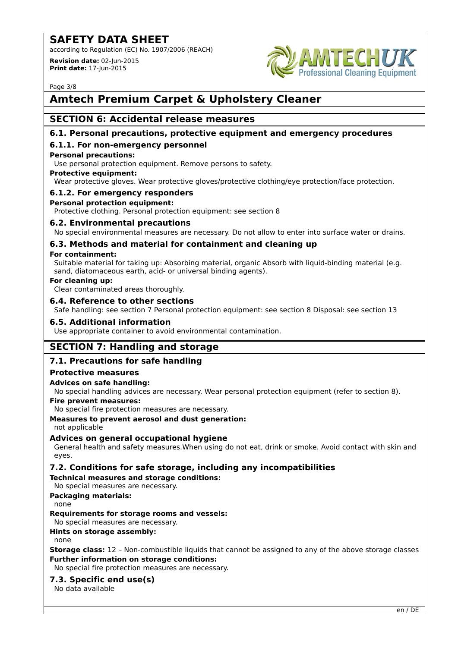according to Regulation (EC) No. 1907/2006 (REACH)

**Revision date:** 02-Jun-2015 **Print date:** 17-Jun-2015



Page 3/8

# **Amtech Premium Carpet & Upholstery Cleaner**

# **SECTION 6: Accidental release measures**

# **6.1. Personal precautions, protective equipment and emergency procedures**

# **6.1.1. For non-emergency personnel**

#### **Personal precautions:**

Use personal protection equipment. Remove persons to safety.

#### **Protective equipment:**

Wear protective gloves. Wear protective gloves/protective clothing/eye protection/face protection.

# **6.1.2. For emergency responders**

## **Personal protection equipment:**

Protective clothing. Personal protection equipment: see section 8

## **6.2. Environmental precautions**

No special environmental measures are necessary. Do not allow to enter into surface water or drains.

# **6.3. Methods and material for containment and cleaning up**

#### **For containment:**

Suitable material for taking up: Absorbing material, organic Absorb with liquid-binding material (e.g. sand, diatomaceous earth, acid- or universal binding agents).

#### **For cleaning up:**

Clear contaminated areas thoroughly.

## **6.4. Reference to other sections**

Safe handling: see section 7 Personal protection equipment: see section 8 Disposal: see section 13

#### **6.5. Additional information**

Use appropriate container to avoid environmental contamination.

# **SECTION 7: Handling and storage**

# **7.1. Precautions for safe handling**

## **Protective measures**

## **Advices on safe handling:**

No special handling advices are necessary. Wear personal protection equipment (refer to section 8).

**Fire prevent measures:**

No special fire protection measures are necessary.

# **Measures to prevent aerosol and dust generation:**

not applicable

# **Advices on general occupational hygiene**

General health and safety measures.When using do not eat, drink or smoke. Avoid contact with skin and eyes.

# **7.2. Conditions for safe storage, including any incompatibilities**

**Technical measures and storage conditions:**

No special measures are necessary.

**Packaging materials:** none

## **Requirements for storage rooms and vessels:**

No special measures are necessary.

# **Hints on storage assembly:**

none

**Storage class:** 12 – Non-combustible liquids that cannot be assigned to any of the above storage classes **Further information on storage conditions:**

No special fire protection measures are necessary.

# **7.3. Specific end use(s)**

No data available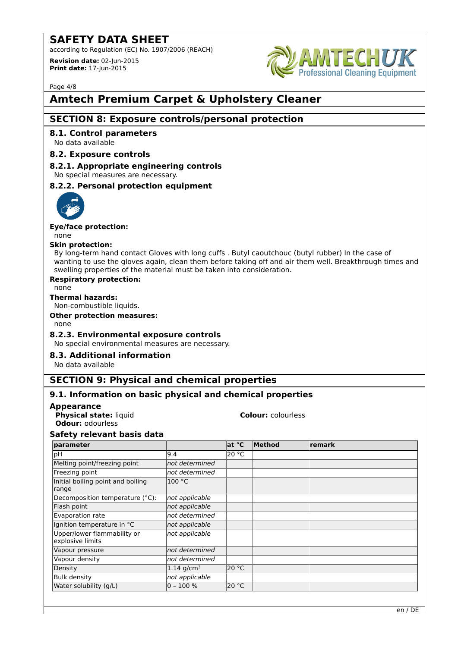according to Regulation (EC) No. 1907/2006 (REACH)

**Revision date:** 02-Jun-2015 **Print date:** 17-Jun-2015



Page 4/8

# **Amtech Premium Carpet & Upholstery Cleaner**

# **SECTION 8: Exposure controls/personal protection**

# **8.1. Control parameters**

No data available

# **8.2. Exposure controls**

# **8.2.1. Appropriate engineering controls**

No special measures are necessary.

# **8.2.2. Personal protection equipment**



#### **Eye/face protection:**

none

#### **Skin protection:**

By long-term hand contact Gloves with long cuffs . Butyl caoutchouc (butyl rubber) In the case of wanting to use the gloves again, clean them before taking off and air them well. Breakthrough times and swelling properties of the material must be taken into consideration.

## **Respiratory protection:**

none

# **Thermal hazards:**

Non-combustible liquids.

**Other protection measures:**

# none

## **8.2.3. Environmental exposure controls**

No special environmental measures are necessary.

## **8.3. Additional information**

No data available

# **SECTION 9: Physical and chemical properties**

# **9.1. Information on basic physical and chemical properties**

# **Appearance**

**Physical state:** liquid **Colour:** colourless **Odour:** odourless

# **Safety relevant basis data**

| parameter                                       |                | at °C | Method | remark |
|-------------------------------------------------|----------------|-------|--------|--------|
| рH                                              | 9.4            | 20 °C |        |        |
| Melting point/freezing point                    | not determined |       |        |        |
| Freezing point                                  | not determined |       |        |        |
| Initial boiling point and boiling<br>range      | 100 °C         |       |        |        |
| Decomposition temperature (°C):                 | not applicable |       |        |        |
| Flash point                                     | not applicable |       |        |        |
| Evaporation rate                                | not determined |       |        |        |
| Ignition temperature in °C                      | not applicable |       |        |        |
| Upper/lower flammability or<br>explosive limits | not applicable |       |        |        |
| Vapour pressure                                 | not determined |       |        |        |
| Vapour density                                  | not determined |       |        |        |
| Density                                         | 1.14 $q/cm^3$  | 20 °C |        |        |
| <b>Bulk density</b>                             | not applicable |       |        |        |
| Water solubility (g/L)                          | $0 - 100 %$    | 20 °C |        |        |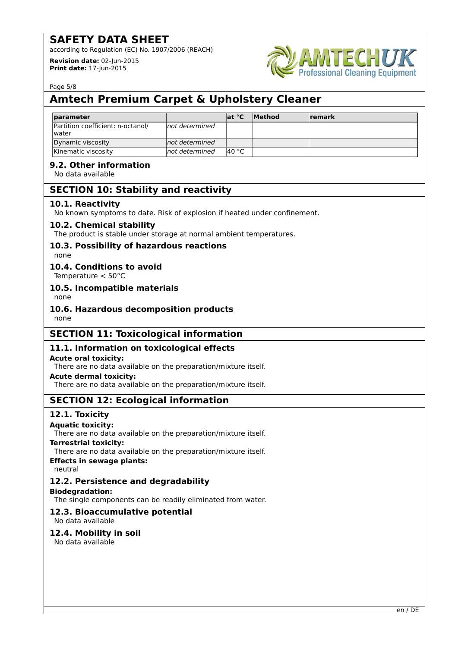according to Regulation (EC) No. 1907/2006 (REACH)

**Revision date:** 02-Jun-2015 **Print date:** 17-Jun-2015



Page 5/8

# **Amtech Premium Carpet & Upholstery Cleaner**

| <b>Iparameter</b>                                  |                 | lat °C | <b>Method</b> | <b>remark</b> |
|----------------------------------------------------|-----------------|--------|---------------|---------------|
| Partition coefficient: n-octanol/<br><b>Iwater</b> | Inot determined |        |               |               |
| Dynamic viscosity                                  | not determined  |        |               |               |
| Kinematic viscosity                                | Inot determined | l40 °C |               |               |

# **9.2. Other information**

No data available

# **SECTION 10: Stability and reactivity**

# **10.1. Reactivity**

No known symptoms to date. Risk of explosion if heated under confinement.

## **10.2. Chemical stability**

The product is stable under storage at normal ambient temperatures.

# **10.3. Possibility of hazardous reactions**

none

# **10.4. Conditions to avoid**

Temperature < 50°C

# **10.5. Incompatible materials**

none

# **10.6. Hazardous decomposition products**

none

# **SECTION 11: Toxicological information**

# **11.1. Information on toxicological effects**

## **Acute oral toxicity:**

There are no data available on the preparation/mixture itself.

#### **Acute dermal toxicity:**

There are no data available on the preparation/mixture itself.

# **SECTION 12: Ecological information**

# **12.1. Toxicity**

## **Aquatic toxicity:**

There are no data available on the preparation/mixture itself.

#### **Terrestrial toxicity:**

There are no data available on the preparation/mixture itself.

# **Effects in sewage plants:**

neutral

# **12.2. Persistence and degradability**

## **Biodegradation:**

The single components can be readily eliminated from water.

# **12.3. Bioaccumulative potential**

No data available

# **12.4. Mobility in soil**

No data available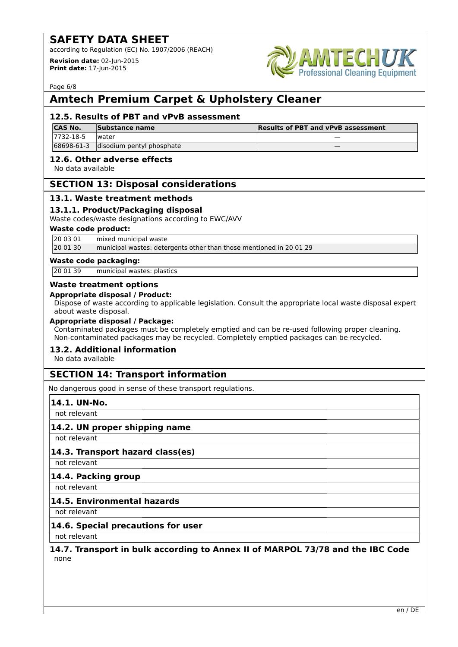according to Regulation (EC) No. 1907/2006 (REACH)

**Revision date:** 02-Jun-2015 **Print date:** 17-Jun-2015



Page 6/8

# **Amtech Premium Carpet & Upholstery Cleaner**

# **12.5. Results of PBT and vPvB assessment**

| <b>CAS No.</b> | Substance name            | <b>Results of PBT and vPvB assessment</b> |
|----------------|---------------------------|-------------------------------------------|
| 17732-18-5     | <i>water</i>              |                                           |
| 68698-61-3     | disodium pentyl phosphate |                                           |

# **12.6. Other adverse effects**

No data available

# **SECTION 13: Disposal considerations**

# **13.1. Waste treatment methods**

# **13.1.1. Product/Packaging disposal**

Waste codes/waste designations according to EWC/AVV

#### **Waste code product:**

20 03 01 mixed municipal waste

20 01 30 municipal wastes: detergents other than those mentioned in 20 01 29

#### **Waste code packaging:**

20 01 39 municipal wastes: plastics

#### **Waste treatment options**

#### **Appropriate disposal / Product:**

Dispose of waste according to applicable legislation. Consult the appropriate local waste disposal expert about waste disposal.

#### **Appropriate disposal / Package:**

Contaminated packages must be completely emptied and can be re-used following proper cleaning. Non-contaminated packages may be recycled. Completely emptied packages can be recycled.

## **13.2. Additional information**

No data available

# **SECTION 14: Transport information**

No dangerous good in sense of these transport regulations.

## **14.1. UN-No.**

not relevant

## **14.2. UN proper shipping name**

not relevant

## **14.3. Transport hazard class(es)**

not relevant

## **14.4. Packing group**

not relevant

## **14.5. Environmental hazards**

not relevant

# **14.6. Special precautions for user**

not relevant

#### **14.7. Transport in bulk according to Annex II of MARPOL 73/78 and the IBC Code** none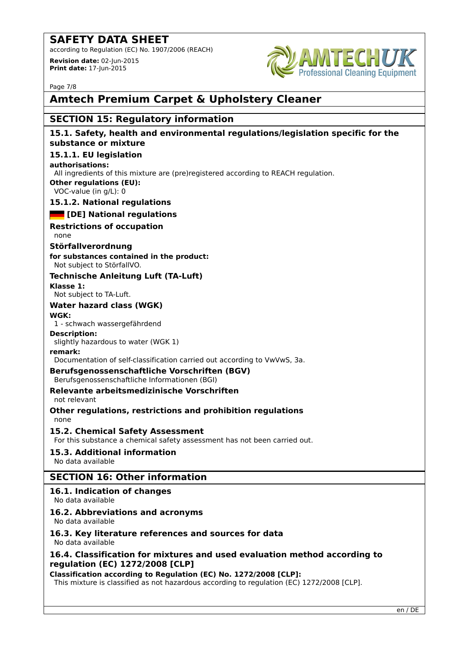according to Regulation (EC) No. 1907/2006 (REACH)

**Revision date:** 02-Jun-2015 **Print date:** 17-Jun-2015



Page 7/8

# **Amtech Premium Carpet & Upholstery Cleaner**

# **SECTION 15: Regulatory information**

# **15.1. Safety, health and environmental regulations/legislation specific for the substance or mixture**

## **15.1.1. EU legislation**

#### **authorisations:**

All ingredients of this mixture are (pre)registered according to REACH regulation.

# **Other regulations (EU):**

VOC-value (in g/L): 0

## **15.1.2. National regulations**

*<b>EXECUTE:* [DE] National regulations

# **Restrictions of occupation**

none

## **Störfallverordnung**

**for substances contained in the product:** Not subject to StörfallVO.

# **Technische Anleitung Luft (TA-Luft)**

**Klasse 1:** Not subject to TA-Luft.

# **Water hazard class (WGK)**

## **WGK:**

1 - schwach wassergefährdend

**Description:** slightly hazardous to water (WGK 1)

## **remark:**

Documentation of self-classification carried out according to VwVwS, 3a.

## **Berufsgenossenschaftliche Vorschriften (BGV)**

Berufsgenossenschaftliche Informationen (BGI)

# **Relevante arbeitsmedizinische Vorschriften**

not relevant

**Other regulations, restrictions and prohibition regulations** none

## **15.2. Chemical Safety Assessment**

For this substance a chemical safety assessment has not been carried out.

# **15.3. Additional information**

No data available

# **SECTION 16: Other information**

# **16.1. Indication of changes**

No data available

# **16.2. Abbreviations and acronyms**

No data available

# **16.3. Key literature references and sources for data**

No data available

# **16.4. Classification for mixtures and used evaluation method according to regulation (EC) 1272/2008 [CLP]**

**Classification according to Regulation (EC) No. 1272/2008 [CLP]:**

This mixture is classified as not hazardous according to regulation (EC) 1272/2008 [CLP].